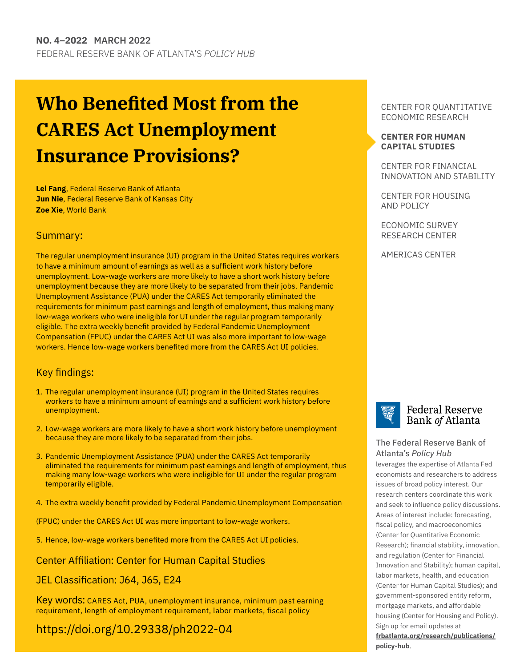## **Who Benefited Most from the CARES Act Unemployment Insurance Provisions?**

**Lei Fang**, Federal Reserve Bank of Atlanta **Jun Nie**, Federal Reserve Bank of Kansas City **Zoe Xie**, World Bank

#### Summary:

The regular unemployment insurance (UI) program in the United States requires workers to have a minimum amount of earnings as well as a sufficient work history before unemployment. Low-wage workers are more likely to have a short work history before unemployment because they are more likely to be separated from their jobs. Pandemic Unemployment Assistance (PUA) under the CARES Act temporarily eliminated the requirements for minimum past earnings and length of employment, thus making many low-wage workers who were ineligible for UI under the regular program temporarily eligible. The extra weekly benefit provided by Federal Pandemic Unemployment Compensation (FPUC) under the CARES Act UI was also more important to low-wage workers. Hence low-wage workers benefited more from the CARES Act UI policies.

#### Key findings:

- 1. The regular unemployment insurance (UI) program in the United States requires workers to have a minimum amount of earnings and a sufficient work history before unemployment.
- 2. Low-wage workers are more likely to have a short work history before unemployment because they are more likely to be separated from their jobs.
- 3. Pandemic Unemployment Assistance (PUA) under the CARES Act temporarily eliminated the requirements for minimum past earnings and length of employment, thus making many low-wage workers who were ineligible for UI under the regular program temporarily eligible.
- 4. The extra weekly benefit provided by Federal Pandemic Unemployment Compensation

(FPUC) under the CARES Act UI was more important to low-wage workers.

5. Hence, low-wage workers benefited more from the CARES Act UI policies.

#### Center Affiliation: Center for Human Capital Studies

#### JEL Classification: J64, J65, E24

Key words: CARES Act, PUA, unemployment insurance, minimum past earning requirement, length of employment requirement, labor markets, fiscal policy

## <https://doi.org/10.29338/ph2022-04>

CENTER FOR QUANTITATIVE ECONOMIC RESEARCH

#### **[CENTER FOR HUMAN](https://www.frbatlanta.org/chcs#:~:text=The%20Center%20for%20Human%20Capital,and%20outside%20the%20Atlanta%20Fed.) [CAPITAL STUDIES](https://www.frbatlanta.org/chcs#:~:text=The%20Center%20for%20Human%20Capital,and%20outside%20the%20Atlanta%20Fed.)**

CENTER FOR FINANCIAL INNOVATION AND STABILITY

CENTER FOR HOUSING AND POLICY

ECONOMIC SURVEY RESEARCH CENTER

AMERICAS CENTER



#### **Federal Reserve** Bank of Atlanta

#### [The Federal Reserve Bank of](http://frbatlanta.org/)  Atlanta's *Policy Hub*

leverages the expertise of Atlanta Fed economists and researchers to address issues of broad policy interest. Our research centers coordinate this work and seek to influence policy discussions. Areas of interest include: forecasting, fiscal policy, and macroeconomics (Center for Quantitative Economic Research); financial stability, innovation, and regulation (Center for Financial Innovation and Stability); human capital, labor markets, health, and education (Center for Human Capital Studies); and government-sponsored entity reform, mortgage markets, and affordable housing (Center for Housing and Policy). Sign up for email updates at

**[frbatlanta.org/research/publications](http://frbatlanta.org/research/publications/policy-hub)[/](http://frbatlanta.org/research/publications/policy-hub.aspx) [policy-hub](http://frbatlanta.org/research/publications/policy-hub)**.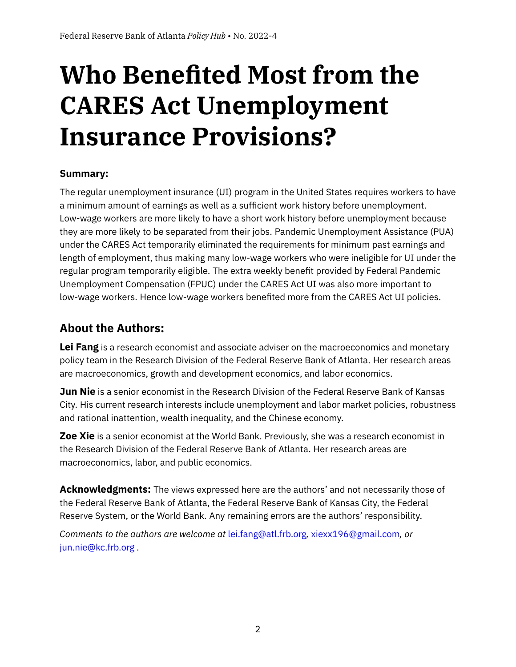# **Who Benefited Most from the CARES Act Unemployment Insurance Provisions?**

## **Summary:**

The regular unemployment insurance (UI) program in the United States requires workers to have a minimum amount of earnings as well as a sufficient work history before unemployment. Low-wage workers are more likely to have a short work history before unemployment because they are more likely to be separated from their jobs. Pandemic Unemployment Assistance (PUA) under the CARES Act temporarily eliminated the requirements for minimum past earnings and length of employment, thus making many low-wage workers who were ineligible for UI under the regular program temporarily eligible. The extra weekly benefit provided by Federal Pandemic Unemployment Compensation (FPUC) under the CARES Act UI was also more important to low-wage workers. Hence low-wage workers benefited more from the CARES Act UI policies.

## **About the Authors:**

**Lei Fang** is a research economist and associate adviser on the macroeconomics and monetary policy team in the Research Division of the Federal Reserve Bank of Atlanta. Her research areas are macroeconomics, growth and development economics, and labor economics.

**Jun Nie** is a senior economist in the Research Division of the Federal Reserve Bank of Kansas City. His current research interests include unemployment and labor market policies, robustness and rational inattention, wealth inequality, and the Chinese economy.

**Zoe Xie** is a senior economist at the World Bank. Previously, she was a research economist in the Research Division of the Federal Reserve Bank of Atlanta. Her research areas are macroeconomics, labor, and public economics.

**Acknowledgments:** The views expressed here are the authors' and not necessarily those of the Federal Reserve Bank of Atlanta, the Federal Reserve Bank of Kansas City, the Federal Reserve System, or the World Bank. Any remaining errors are the authors' responsibility.

*Comments to the authors are welcome at* [lei.fang@atl.frb.org](mailto:lei.fang@atl.frb.org)*,* [xiexx196@gmail.com](mailto:xiexx196@gmail.com)*, or* [jun.nie@kc.frb.org](mailto:jun.nie@kc.frb.org) .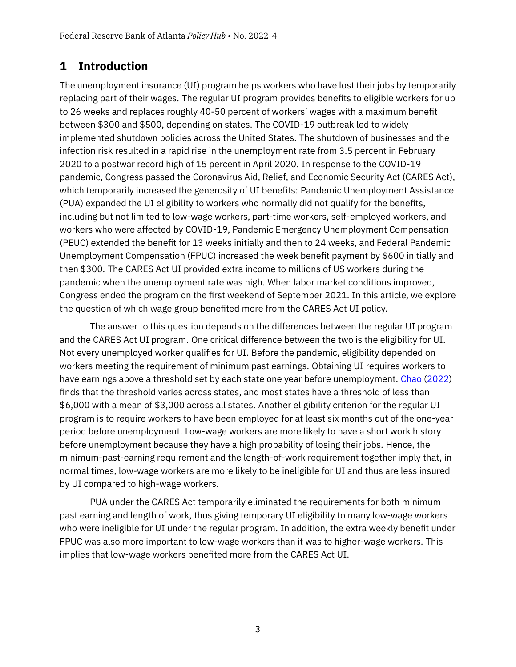## **1 Introduction**

The unemployment insurance (UI) program helps workers who have lost their jobs by temporarily replacing part of their wages. The regular UI program provides benefits to eligible workers for up to 26 weeks and replaces roughly 40-50 percent of workers' wages with a maximum benefit between \$300 and \$500, depending on states. The COVID-19 outbreak led to widely implemented shutdown policies across the United States. The shutdown of businesses and the infection risk resulted in a rapid rise in the unemployment rate from 3.5 percent in February 2020 to a postwar record high of 15 percent in April 2020. In response to the COVID-19 pandemic, Congress passed the Coronavirus Aid, Relief, and Economic Security Act (CARES Act), which temporarily increased the generosity of UI benefits: Pandemic Unemployment Assistance (PUA) expanded the UI eligibility to workers who normally did not qualify for the benefits, including but not limited to low-wage workers, part-time workers, self-employed workers, and workers who were affected by COVID-19, Pandemic Emergency Unemployment Compensation (PEUC) extended the benefit for 13 weeks initially and then to 24 weeks, and Federal Pandemic Unemployment Compensation (FPUC) increased the week benefit payment by \$600 initially and then \$300. The CARES Act UI provided extra income to millions of US workers during the pandemic when the unemployment rate was high. When labor market conditions improved, Congress ended the program on the first weekend of September 2021. In this article, we explore the question of which wage group benefited more from the CARES Act UI policy.

The answer to this question depends on the differences between the regular UI program and the CARES Act UI program. One critical difference between the two is the eligibility for UI. Not every unemployed worker qualifies for UI. Before the pandemic, eligibility depended on workers meeting the requirement of minimum past earnings. Obtaining UI requires workers to have earnings above a threshold set by each state one year before unemployment. [Chao](#page-5-0) [\(2022\)](#page-5-0) finds that the threshold varies across states, and most states have a threshold of less than \$6,000 with a mean of \$3,000 across all states. Another eligibility criterion for the regular UI program is to require workers to have been employed for at least six months out of the one-year period before unemployment. Low-wage workers are more likely to have a short work history before unemployment because they have a high probability of losing their jobs. Hence, the minimum-past-earning requirement and the length-of-work requirement together imply that, in normal times, low-wage workers are more likely to be ineligible for UI and thus are less insured by UI compared to high-wage workers.

PUA under the CARES Act temporarily eliminated the requirements for both minimum past earning and length of work, thus giving temporary UI eligibility to many low-wage workers who were ineligible for UI under the regular program. In addition, the extra weekly benefit under FPUC was also more important to low-wage workers than it was to higher-wage workers. This implies that low-wage workers benefited more from the CARES Act UI.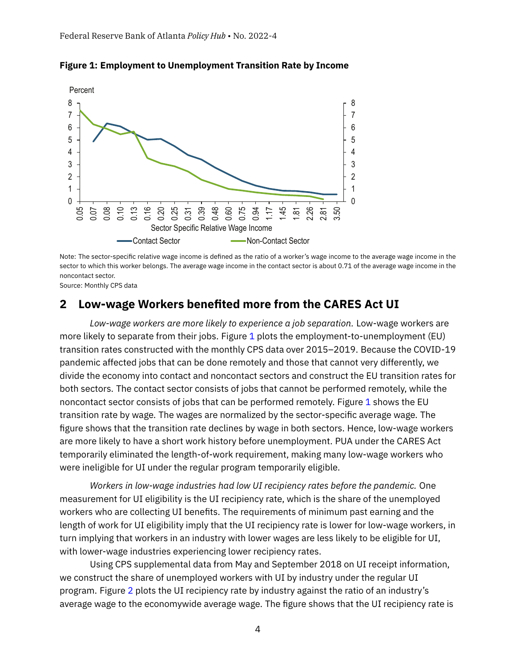

<span id="page-3-0"></span>**Figure 1: Employment to Unemployment Transition Rate by Income**

Note: The sector-specific relative wage income is defined as the ratio of a worker's wage income to the average wage income in the sector to which this worker belongs. The average wage income in the contact sector is about 0.71 of the average wage income in the noncontact sector.

Source: Monthly CPS data

### **2 Low-wage Workers benefited more from the CARES Act UI**

*Low-wage workers are more likely to experience a job separation.* Low-wage workers are more likely to separate from their jobs. Figure [1](#page-3-0) plots the employment-to-unemployment (EU) transition rates constructed with the monthly CPS data over 2015–2019. Because the COVID-19 pandemic affected jobs that can be done remotely and those that cannot very differently, we divide the economy into contact and noncontact sectors and construct the EU transition rates for both sectors. The contact sector consists of jobs that cannot be performed remotely, while the noncontact sector consists of jobs that can be performed remotely. Figure [1](#page-3-0) shows the EU transition rate by wage. The wages are normalized by the sector-specific average wage. The figure shows that the transition rate declines by wage in both sectors. Hence, low-wage workers are more likely to have a short work history before unemployment. PUA under the CARES Act temporarily eliminated the length-of-work requirement, making many low-wage workers who were ineligible for UI under the regular program temporarily eligible.

*Workers in low-wage industries had low UI recipiency rates before the pandemic.* One measurement for UI eligibility is the UI recipiency rate, which is the share of the unemployed workers who are collecting UI benefits. The requirements of minimum past earning and the length of work for UI eligibility imply that the UI recipiency rate is lower for low-wage workers, in turn implying that workers in an industry with lower wages are less likely to be eligible for UI, with lower-wage industries experiencing lower recipiency rates.

Using CPS supplemental data from May and September 2018 on UI receipt information, we construct the share of unemployed workers with UI by industry under the regular UI program. Figure [2](#page-4-0) plots the UI recipiency rate by industry against the ratio of an industry's average wage to the economywide average wage. The figure shows that the UI recipiency rate is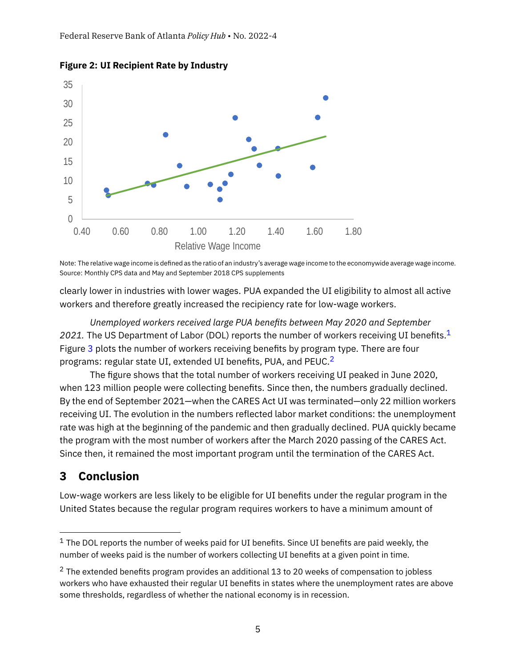

<span id="page-4-0"></span>**Figure 2: UI Recipient Rate by Industry**

Note: The relative wage income is defined as the ratio of an industry's average wage income to the economywide average wage income. Source: Monthly CPS data and May and September 2018 CPS supplements

clearly lower in industries with lower wages. PUA expanded the UI eligibility to almost all active workers and therefore greatly increased the recipiency rate for low-wage workers.

*Unemployed workers received large PUA benefits between May 2020 and September* 202[1](#page-4-1). The US Department of Labor (DOL) reports the number of workers receiving UI benefits.<sup>1</sup> Figure [3](#page-5-1) plots the number of workers receiving benefits by program type. There are four programs: regular state UI, extended UI benefits, PUA, and PEUC.<sup>[2](#page-4-2)</sup>

The figure shows that the total number of workers receiving UI peaked in June 2020, when 123 million people were collecting benefits. Since then, the numbers gradually declined. By the end of September 2021—when the CARES Act UI was terminated—only 22 million workers receiving UI. The evolution in the numbers reflected labor market conditions: the unemployment rate was high at the beginning of the pandemic and then gradually declined. PUA quickly became the program with the most number of workers after the March 2020 passing of the CARES Act. Since then, it remained the most important program until the termination of the CARES Act.

## **3 Conclusion**

Low-wage workers are less likely to be eligible for UI benefits under the regular program in the United States because the regular program requires workers to have a minimum amount of

<span id="page-4-1"></span> $1$  The DOL reports the number of weeks paid for UI benefits. Since UI benefits are paid weekly, the number of weeks paid is the number of workers collecting UI benefits at a given point in time.

<span id="page-4-2"></span> $2$  The extended benefits program provides an additional 13 to 20 weeks of compensation to jobless workers who have exhausted their regular UI benefits in states where the unemployment rates are above some thresholds, regardless of whether the national economy is in recession.